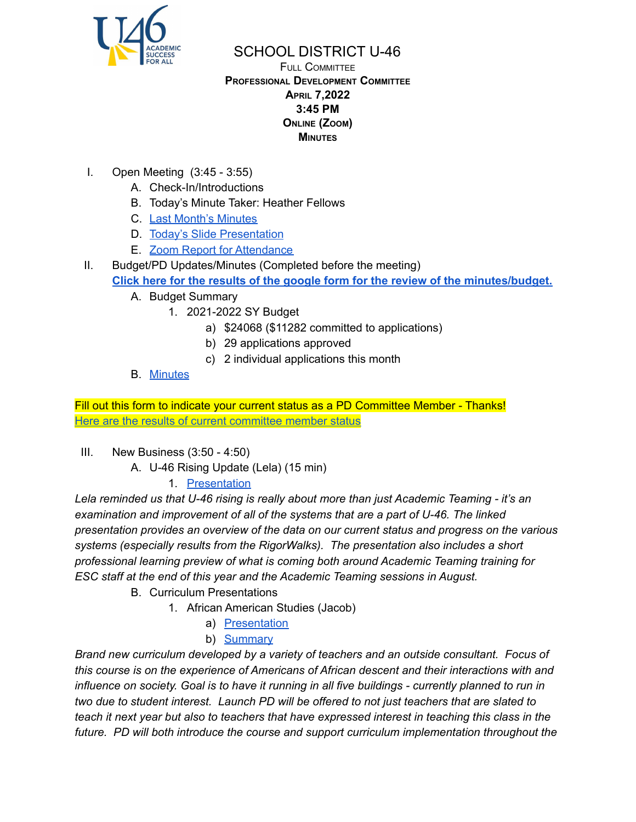

## SCHOOL DISTRICT U-46

#### FULL COMMITTEE **PROFESSIONAL DEVELOPMENT COMMITTEE APRIL 7,2022 3:45 PM ONLINE (ZOOM) MINUTES**

- I. Open Meeting (3:45 3:55)
	- A. Check-In/Introductions
	- B. Today's Minute Taker: Heather Fellows
	- C. Last Month's [Minutes](https://www.u-46.org/site/handlers/filedownload.ashx?moduleinstanceid=40057&dataid=68769&FileName=3-3-22%20Minutes%20PD%20FC.pdf)
	- D. Today's Slide [Presentation](https://docs.google.com/presentation/d/1DI3SA-sqEJkw7-o6MgT4KK6QlaMmZKArP6GW5uJ1qGw/edit?usp=sharing)
	- E. Zoom Report for [Attendance](https://docs.google.com/spreadsheets/d/1hNwFCpNEHjeP1-xVjjGZHYq6ExXO8QKg/edit?usp=sharing&ouid=114155932067581146592&rtpof=true&sd=true)
- II. Budget/PD Updates/Minutes (Completed before the meeting) **Click here for the results of the google form for the review of the [minutes/budget.](https://docs.google.com/forms/d/1FmWHbArd70eufneidjufFMl8a92Pmt3NIybFHp5qz4Q/viewanalytics)**
	- A. Budget Summary
		- 1. 2021-2022 SY Budget
			- a) \$24068 (\$11282 committed to applications)
			- b) 29 applications approved
			- c) 2 individual applications this month
	- B. [Minutes](https://www.u-46.org/site/handlers/filedownload.ashx?moduleinstanceid=40057&dataid=68769&FileName=3-3-22%20Minutes%20PD%20FC.pdf)

Fill out this form to indicate your current status as a PD Committee Member - Thanks! Here are the results of current [committee](https://docs.google.com/spreadsheets/d/16b8Er8xtdRlwNK4AEhBJVbOqKNx5zyQVoN5QSrhYpBo/edit?usp=sharing) member status

- III. New Business (3:50 4:50)
	- A. U-46 Rising Update (Lela) (15 min)

# 1. [Presentation](https://docs.google.com/presentation/d/1oVHj5WUEidSxbAqUJUJ2hn_SECyztTKWBYPALyzXj_M/edit?usp=sharing)

*Lela reminded us that U-46 rising is really about more than just Academic Teaming - it's an examination and improvement of all of the systems that are a part of U-46. The linked presentation provides an overview of the data on our current status and progress on the various systems (especially results from the RigorWalks). The presentation also includes a short professional learning preview of what is coming both around Academic Teaming training for ESC staff at the end of this year and the Academic Teaming sessions in August.*

- B. Curriculum Presentations
	- 1. African American Studies (Jacob)
		- a) [Presentation](https://doc-0o-1c-docs.googleusercontent.com/docs/securesc/8oj654mb2p8a19l236gk5e6bgap61cug/7dhdla180ibs8uq2a6l72rkqgva0uie2/1648223775000/00679091888154933482/08637052762951978727/1Jdlhb4WCk-zrdHUvv2oaH910fYicXdol?e=download&authuser=0)
		- b) [Summary](https://docs.google.com/document/d/1fXNn1vsfnBLzRAjgcABIWS4LJ0leYlSQiVZLSOCS1AQ/edit?usp=gmail)

*Brand new curriculum developed by a variety of teachers and an outside consultant. Focus of this course is on the experience of Americans of African descent and their interactions with and* influence on society. Goal is to have it running in all five buildings - currently planned to run in *two due to student interest. Launch PD will be offered to not just teachers that are slated to teach it next year but also to teachers that have expressed interest in teaching this class in the future. PD will both introduce the course and support curriculum implementation throughout the*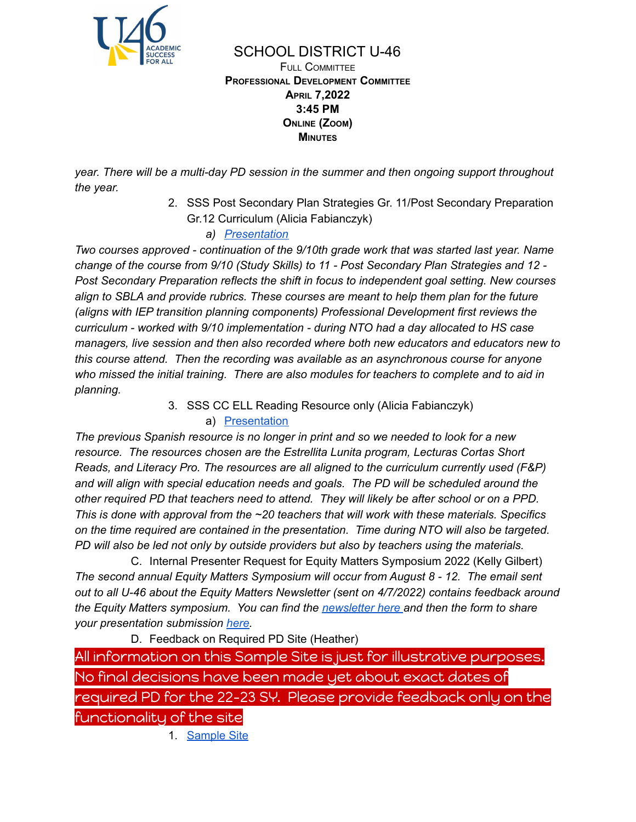

SCHOOL DISTRICT U-46 FULL COMMITTEE **PROFESSIONAL DEVELOPMENT COMMITTEE APRIL 7,2022 3:45 PM ONLINE (ZOOM) MINUTES**

*year. There will be a multi-day PD session in the summer and then ongoing support throughout the year.*

> 2. SSS Post Secondary Plan Strategies Gr. 11/Post Secondary Preparation Gr.12 Curriculum (Alicia Fabianczyk)

*a) [Presentation](https://docs.google.com/presentation/d/1c-cuiz5QsscaNfBvlq-bHj3bhnM9Pbt4/edit?usp=sharing_eil_se_dm&rtpof=true&sd=true&ts=6241f90b)*

*Two courses approved - continuation of the 9/10th grade work that was started last year. Name change of the course from 9/10 (Study Skills) to 11 - Post Secondary Plan Strategies and 12 - Post Secondary Preparation reflects the shift in focus to independent goal setting. New courses align to SBLA and provide rubrics. These courses are meant to help them plan for the future (aligns with IEP transition planning components) Professional Development first reviews the curriculum - worked with 9/10 implementation - during NTO had a day allocated to HS case managers, live session and then also recorded where both new educators and educators new to this course attend. Then the recording was available as an asynchronous course for anyone who missed the initial training. There are also modules for teachers to complete and to aid in planning.*

3. SSS CC ELL Reading Resource only (Alicia Fabianczyk)

#### a) [Presentation](https://docs.google.com/presentation/d/1uJTy-yuk80DL-Lqe8waoagu-5IK-7e5r/edit?usp=sharing_eil_se_dm&rtpof=true&sd=true&ts=6241c8ed)

*The previous Spanish resource is no longer in print and so we needed to look for a new resource. The resources chosen are the Estrellita Lunita program, Lecturas Cortas Short Reads, and Literacy Pro. The resources are all aligned to the curriculum currently used (F&P) and will align with special education needs and goals. The PD will be scheduled around the other required PD that teachers need to attend. They will likely be after school or on a PPD. This is done with approval from the ~20 teachers that will work with these materials. Specifics on the time required are contained in the presentation. Time during NTO will also be targeted. PD will also be led not only by outside providers but also by teachers using the materials.*

C. Internal Presenter Request for Equity Matters Symposium 2022 (Kelly Gilbert) *The second annual Equity Matters Symposium will occur from August 8 - 12. The email sent out to all U-46 about the Equity Matters Newsletter (sent on 4/7/2022) contains feedback around the Equity Matters symposium. You can find the [newsletter](https://www.smore.com/6hbj3-u-46-equity-matters-newsletter?ref=email) here and then the form to share your presentation submission [here](https://www.smore.com/app/reporting/out/6hbj3?u=https%3A%2F%2Fdocs.google.com%2Fforms%2Fd%2F13AHVzWGxislKslFdZ5jwoQJMxqmDNyH-PU1tfBU5Cug%2Fprefill&t=here&w=w-3120502499&i=&l=l-7673370673).*

D. Feedback on Required PD Site (Heather) All information on this Sample Site is just for illustrative purposes. No final decisions have been made yet about exact dates of required PD for the 22-23 SY. Please provide feedback only on the functionality of the site

1. [Sample](https://sites.google.com/u-46.org/requiredpd22-23sy/home) Site